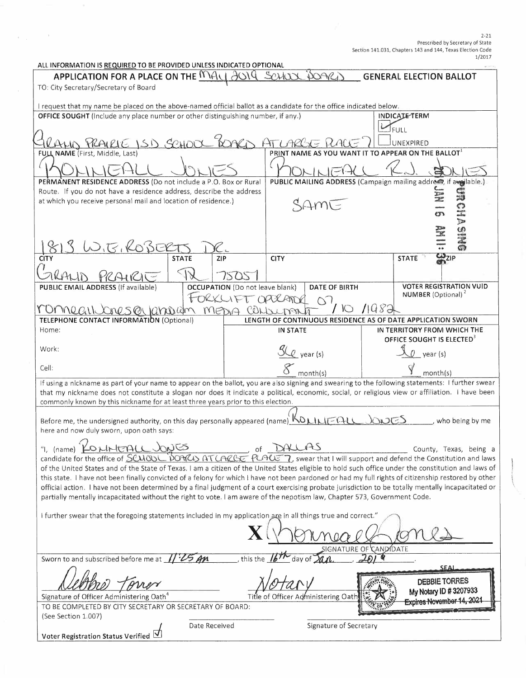| 1/2011<br>ALL INFORMATION IS REQUIRED TO BE PROVIDED UNLESS INDICATED OPTIONAL                                                                                                                                                                                                                            |                     |                                        |                                                                                         |  |                                                                         |  |  |
|-----------------------------------------------------------------------------------------------------------------------------------------------------------------------------------------------------------------------------------------------------------------------------------------------------------|---------------------|----------------------------------------|-----------------------------------------------------------------------------------------|--|-------------------------------------------------------------------------|--|--|
| APPLICATION FOR A PLACE ON THE MALE<br>SCHOC<br>DOARI<br><b>GENERAL ELECTION BALLOT</b>                                                                                                                                                                                                                   |                     |                                        |                                                                                         |  |                                                                         |  |  |
| TO: City Secretary/Secretary of Board                                                                                                                                                                                                                                                                     |                     |                                        |                                                                                         |  |                                                                         |  |  |
|                                                                                                                                                                                                                                                                                                           |                     |                                        |                                                                                         |  |                                                                         |  |  |
| I request that my name be placed on the above-named official ballot as a candidate for the office indicated below.<br>OFFICE SOUGHT (Include any place number or other distinguishing number, if any.)                                                                                                    |                     |                                        |                                                                                         |  | <b>INDICATE-TERM</b>                                                    |  |  |
|                                                                                                                                                                                                                                                                                                           |                     |                                        |                                                                                         |  |                                                                         |  |  |
|                                                                                                                                                                                                                                                                                                           |                     |                                        |                                                                                         |  | <b>FULL</b>                                                             |  |  |
| HUS PRAIRIE ISD SCHOOL                                                                                                                                                                                                                                                                                    |                     |                                        | 5 MACE                                                                                  |  | UNEXPIRED<br>TO APPEAR ON THE BALLOT <sup>1</sup>                       |  |  |
| FULL NAME (First, Middle, Last)                                                                                                                                                                                                                                                                           |                     |                                        | PRINT NAME AS YOU WANT                                                                  |  |                                                                         |  |  |
|                                                                                                                                                                                                                                                                                                           |                     |                                        |                                                                                         |  |                                                                         |  |  |
| PERMANENT RESIDENCE ADDRESS (Do not include a P.O. Box or Rural                                                                                                                                                                                                                                           |                     |                                        |                                                                                         |  | PUBLIC MAILING ADDRESS (Campaign mailing address, if awgilable.)        |  |  |
| Route. If you do not have a residence address, describe the address                                                                                                                                                                                                                                       |                     |                                        |                                                                                         |  | S                                                                       |  |  |
| at which you receive personal mail and location of residence.)                                                                                                                                                                                                                                            |                     |                                        | SAME                                                                                    |  |                                                                         |  |  |
|                                                                                                                                                                                                                                                                                                           |                     |                                        |                                                                                         |  | <b>The</b>                                                              |  |  |
|                                                                                                                                                                                                                                                                                                           |                     |                                        |                                                                                         |  |                                                                         |  |  |
|                                                                                                                                                                                                                                                                                                           |                     |                                        |                                                                                         |  | <b>9MIS</b>                                                             |  |  |
| <u>E. KOBER</u><br>CITY                                                                                                                                                                                                                                                                                   | <b>STATE</b><br>ZIP |                                        | <b>CITY</b>                                                                             |  | <b>CD</b><br>CD <sub>ZIP</sub><br><b>STATE</b>                          |  |  |
|                                                                                                                                                                                                                                                                                                           |                     |                                        |                                                                                         |  |                                                                         |  |  |
|                                                                                                                                                                                                                                                                                                           |                     |                                        |                                                                                         |  |                                                                         |  |  |
| <b>PUBLIC EMAIL ADDRESS (If available)</b>                                                                                                                                                                                                                                                                |                     | <b>OCCUPATION</b> (Do not leave blank) | <b>DATE OF BIRTH</b>                                                                    |  | <b>VOTER REGISTRATION VUID</b><br><b>NUMBER</b> (Optional) <sup>2</sup> |  |  |
|                                                                                                                                                                                                                                                                                                           |                     | FORKLIFT OPPRATUR                      | $\bigcap$                                                                               |  |                                                                         |  |  |
| MOMPLELINOMES ON IGNORIAM MEDIA CONSUMA<br><b>TELEPHONE CONTACT INFORMATION (Optional)</b>                                                                                                                                                                                                                |                     |                                        | $\overline{\phantom{0}}$<br>LENGTH OF CONTINUOUS RESIDENCE AS OF DATE APPLICATION SWORN |  |                                                                         |  |  |
| Home:                                                                                                                                                                                                                                                                                                     |                     |                                        | IN STATE                                                                                |  | IN TERRITORY FROM WHICH THE                                             |  |  |
|                                                                                                                                                                                                                                                                                                           |                     |                                        |                                                                                         |  | OFFICE SOUGHT IS ELECTED <sup>3</sup>                                   |  |  |
| Work:                                                                                                                                                                                                                                                                                                     |                     |                                        | <u>SLQ</u> year (s)                                                                     |  | $Q$ year (s)                                                            |  |  |
| Cell:                                                                                                                                                                                                                                                                                                     |                     |                                        |                                                                                         |  |                                                                         |  |  |
|                                                                                                                                                                                                                                                                                                           |                     |                                        | month(s)                                                                                |  | month(s)                                                                |  |  |
| If using a nickname as part of your name to appear on the ballot, you are also signing and swearing to the following statements: I further swear                                                                                                                                                          |                     |                                        |                                                                                         |  |                                                                         |  |  |
| that my nickname does not constitute a slogan nor does it indicate a political, economic, social, or religious view or affiliation. I have been<br>commonly known by this nickname for at least three years prior to this election.                                                                       |                     |                                        |                                                                                         |  |                                                                         |  |  |
|                                                                                                                                                                                                                                                                                                           |                     |                                        |                                                                                         |  |                                                                         |  |  |
| Before me, the undersigned authority, on this day personally appeared (name) KOLILIT-ALL<br>CDCD<br>who being by me                                                                                                                                                                                       |                     |                                        |                                                                                         |  |                                                                         |  |  |
| here and now duly sworn, upon oath says:                                                                                                                                                                                                                                                                  |                     |                                        |                                                                                         |  |                                                                         |  |  |
| "1, (name) KONHEALL JONES<br>DALAS<br>of<br>County, Texas, being a                                                                                                                                                                                                                                        |                     |                                        |                                                                                         |  |                                                                         |  |  |
| candidate for the office of SCMOOL DOMAS AT LARGE PLAUS 7, swear that I will support and defend the Constitution and laws                                                                                                                                                                                 |                     |                                        |                                                                                         |  |                                                                         |  |  |
| of the United States and of the State of Texas. I am a citizen of the United States eligible to hold such office under the constitution and laws of                                                                                                                                                       |                     |                                        |                                                                                         |  |                                                                         |  |  |
| this state. I have not been finally convicted of a felony for which I have not been pardoned or had my full rights of citizenship restored by other<br>official action. I have not been determined by a final judgment of a court exercising probate jurisdiction to be totally mentally incapacitated or |                     |                                        |                                                                                         |  |                                                                         |  |  |
| partially mentally incapacitated without the right to vote. I am aware of the nepotism law, Chapter 573, Government Code.                                                                                                                                                                                 |                     |                                        |                                                                                         |  |                                                                         |  |  |
|                                                                                                                                                                                                                                                                                                           |                     |                                        |                                                                                         |  |                                                                         |  |  |
| I further swear that the foregoing statements included in my application are in all things true and correct."                                                                                                                                                                                             |                     |                                        |                                                                                         |  |                                                                         |  |  |
|                                                                                                                                                                                                                                                                                                           |                     |                                        |                                                                                         |  |                                                                         |  |  |
|                                                                                                                                                                                                                                                                                                           |                     |                                        |                                                                                         |  |                                                                         |  |  |
| SIGNATURE OF CANDIDATE<br>this the<br>Sworn to and subscribed before me at<br>day of                                                                                                                                                                                                                      |                     |                                        |                                                                                         |  |                                                                         |  |  |
| SEAI                                                                                                                                                                                                                                                                                                      |                     |                                        |                                                                                         |  |                                                                         |  |  |
|                                                                                                                                                                                                                                                                                                           |                     |                                        |                                                                                         |  | <b>DEBBIE TORRES</b>                                                    |  |  |
|                                                                                                                                                                                                                                                                                                           |                     |                                        |                                                                                         |  | My Notary ID #3207933                                                   |  |  |
| Signature of Officer Administering Oath <sup>4</sup><br>Title of Officer Administering Oath<br>Expires November 14, 202<br>TO BE COMPLETED BY CITY SECRETARY OR SECRETARY OF BOARD:                                                                                                                       |                     |                                        |                                                                                         |  |                                                                         |  |  |
| (See Section 1.007)                                                                                                                                                                                                                                                                                       |                     |                                        |                                                                                         |  |                                                                         |  |  |
| Signature of Secretary<br>Date Received                                                                                                                                                                                                                                                                   |                     |                                        |                                                                                         |  |                                                                         |  |  |
| Voter Registration Status Verified V                                                                                                                                                                                                                                                                      |                     |                                        |                                                                                         |  |                                                                         |  |  |

 $\label{eq:2.1} \left\langle \psi_{\alpha} \right\rangle_{\alpha} = \left\langle \psi_{\alpha} \right\rangle_{\alpha} = 0.$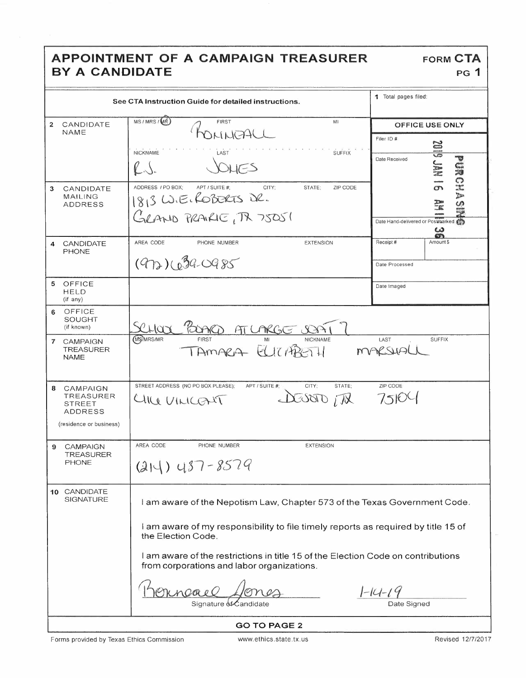### APPOINTMENT OF A CAMPAIGN TREASURER BY A CANDIDATE

|                                                                                          | See CTA Instruction Guide for detailed instructions.                                                                                                                                                                                                                                                                                             | 1 Total pages filed:                                                                  |  |  |  |  |
|------------------------------------------------------------------------------------------|--------------------------------------------------------------------------------------------------------------------------------------------------------------------------------------------------------------------------------------------------------------------------------------------------------------------------------------------------|---------------------------------------------------------------------------------------|--|--|--|--|
| $\overline{2}$<br>CANDIDATE<br>NAME                                                      | MS/MRS/MR)<br><b>FIRST</b><br>MI<br>ASMMC<br><b>NICKNAME</b><br>LAST<br><b>SUFFIX</b>                                                                                                                                                                                                                                                            | OFFICE USE ONLY<br>Filer ID #<br><b>RAL SIDS</b><br>Date Received                     |  |  |  |  |
| 3<br>CANDIDATE<br><b>MAILING</b><br><b>ADDRESS</b>                                       | $V \setminus V$<br>ADDRESS / PO BOX;<br>APT / SUITE #:<br>CITY:<br>STATE:<br>ZIP CODE<br>1813 W.E. ROBERTS DR.<br>GRAND PRAIRIE, TR 75051                                                                                                                                                                                                        | Lind<br>$\mathbb{C}$<br>7.<br>$\frac{5}{2}$<br>Date Hand-delivered or Postmarked<br>ယ |  |  |  |  |
| CANDIDATE<br>4<br><b>PHONE</b>                                                           | AREA CODE<br>PHONE NUMBER<br><b>EXTENSION</b><br>$(972)(039-0985)$                                                                                                                                                                                                                                                                               | <b>STA</b><br>Receipt #<br>Amount \$<br>Date Processed                                |  |  |  |  |
| OFFICE<br>5<br><b>HELD</b><br>(if any)                                                   |                                                                                                                                                                                                                                                                                                                                                  | Date Imaged                                                                           |  |  |  |  |
| OFFICE<br>6<br><b>SOUGHT</b><br>(if known)                                               | FOOTRO AT LARGE<br>LICI                                                                                                                                                                                                                                                                                                                          |                                                                                       |  |  |  |  |
| $\overline{7}$<br><b>CAMPAIGN</b><br><b>TREASURER</b><br><b>NAME</b>                     | (MS/MRS/MR<br><b>NICKNAME</b><br>AMARA ELICARATI                                                                                                                                                                                                                                                                                                 | LAST<br><b>SUFFIX</b>                                                                 |  |  |  |  |
| CAMPAIGN<br>8<br>TREASURER<br><b>STREET</b><br><b>ADDRESS</b><br>(residence or business) | STREET ADDRESS (NO PO BOX PLEASE);<br>APT / SUITE #<br>CITY:<br>STATE:<br>Wi OBOS<br>CHILE VILLIANT                                                                                                                                                                                                                                              | ZIP CODE<br>75100                                                                     |  |  |  |  |
| CAMPAIGN<br>9<br><b>TREASURER</b><br><b>PHONE</b>                                        | AREA CODE<br>PHONE NUMBER<br><b>EXTENSION</b><br>$(214)$ 487-8579                                                                                                                                                                                                                                                                                |                                                                                       |  |  |  |  |
| 10 CANDIDATE<br><b>SIGNATURE</b>                                                         | I am aware of the Nepotism Law, Chapter 573 of the Texas Government Code.<br>I am aware of my responsibility to file timely reports as required by title 15 of<br>the Election Code.<br>I am aware of the restrictions in title 15 of the Election Code on contributions<br>from corporations and labor organizations.<br>Signature of Candidate | $1 - 14 - 19$<br>Date Signed                                                          |  |  |  |  |
| <b>GO TO PAGE 2</b>                                                                      |                                                                                                                                                                                                                                                                                                                                                  |                                                                                       |  |  |  |  |

Forms provided by Texas Ethics Commission

Revised 12/7/2017

**FORM CTA** PG<sub>1</sub>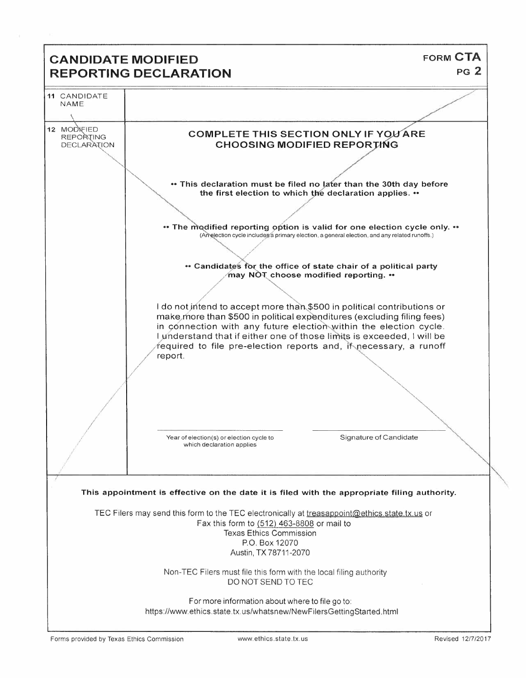# **FORM CTA CANDIDATE MODIFIED**  $PG<sub>2</sub>$ **REPORTING DECLARATION** 11 CANDIDATE NAME 12 MODIFIED **COMPLETE THIS SECTION ONLY IF YOU ARE** REPORTING **CHOOSING MODIFIED REPORTING DECLARATION** \*\* This declaration must be filed no later than the 30th day before the first election to which the declaration applies. .. • The modified reporting option is valid for one election cycle only. • • (Amelection cycle includes a primary election, a general election, and any related runoffs.) • Candidates for the office of state chair of a political party may NOT choose modified reporting. •• I do not intend to accept more than \$500 in political contributions or make more than \$500 in political expenditures (excluding filing fees) in connection with any future election within the election cycle. I understand that if either one of those limits is exceeded, I will be required to file pre-election reports and, if necessary, a runoff report. Year of election(s) or election cycle to Signature of Candidate which declaration applies This appointment is effective on the date it is filed with the appropriate filing authority. TEC Filers may send this form to the TEC electronically at treasappoint@ethics.state.tx.us or Fax this form to (512) 463-8808 or mail to **Texas Ethics Commission** P.O. Box 12070 Austin, TX 78711-2070 Non-TEC Filers must file this form with the local filing authority DO NOT SEND TO TEC For more information about where to file go to: https://www.ethics.state.tx.us/whatsnew/NewFilersGettingStarted.html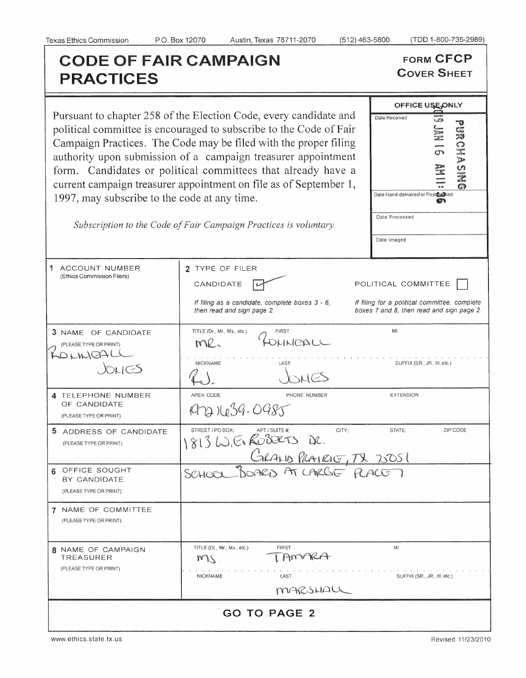# **CODE OF FAIR CAMPAIGN FORM CFCP**<br> **PRACTICES PRACTICES**

Pursuant to chapter 258 of the Election political committee is encouraged Campaign Practices. The Code n authority upon submission of a form. Candidates or political current campaign treasurer appoi 1997, may subscribe to the code

| uant to chapter 258 of the Election Code, every candidate and<br>ical committee is encouraged to subscribe to the Code of Fair<br>paign Practices. The Code may be filed with the proper filing<br>ority upon submission of a campaign treasurer appointment<br>1. Candidates or political committees that already have a<br>ent campaign treasurer appointment on file as of September 1,<br>may subscribe to the code at any time.<br>Subscription to the Code of Fair Campaign Practices is voluntary. | OFFICE USE, ONLY<br>$\frac{1}{2}$<br>Date Received<br><b>JAN 16</b><br>HOMA<br>$\sum$<br>$\frac{3}{2}$<br>Date Hand-delivered or Postcharked<br>Date Processed<br>Date Imaged |                                                                                                                   |  |  |  |  |  |  |
|-----------------------------------------------------------------------------------------------------------------------------------------------------------------------------------------------------------------------------------------------------------------------------------------------------------------------------------------------------------------------------------------------------------------------------------------------------------------------------------------------------------|-------------------------------------------------------------------------------------------------------------------------------------------------------------------------------|-------------------------------------------------------------------------------------------------------------------|--|--|--|--|--|--|
| COUNT NUMBER<br>cs Commission Filers)                                                                                                                                                                                                                                                                                                                                                                                                                                                                     | 2 TYPE OF FILER<br>CANDIDATE<br>If filing as a candidate, complete boxes 3 - 6,<br>then read and sign page 2.                                                                 | POLITICAL COMMITTEE<br>If filing for a political committee, complete<br>boxes 7 and 8, then read and sign page 2. |  |  |  |  |  |  |

| Subscription to the Code of Fair Campaign Practices is voluntary. |  |  |  |  |  |  |
|-------------------------------------------------------------------|--|--|--|--|--|--|
|                                                                   |  |  |  |  |  |  |

| 1 ACCOUNT NUMBER<br>(Ethics Commission Filers)                     | 2 TYPE OF FILER<br>CANDIDATE<br>If filing as a candidate, complete boxes 3 - 6,<br>then read and sign page 2. | POLITICAL COMMITTEE<br>If filing for a political committee, complete<br>boxes 7 and 8, then read and sign page 2. |  |  |  |  |
|--------------------------------------------------------------------|---------------------------------------------------------------------------------------------------------------|-------------------------------------------------------------------------------------------------------------------|--|--|--|--|
| 3 NAME OF CANDIDATE<br>(PLEASE TYPE OR PRINT)<br>OLINOAL<br>JOLIES | TITLE (Dr., Mr., Ms., etc.)<br><b>FIRST</b><br>KINDALI<br>me.<br><b>NICKNAME</b><br>LAST                      | MI<br>SUFFIX (SR., JR., III, etc.)                                                                                |  |  |  |  |
| 4 TELEPHONE NUMBER<br>OF CANDIDATE<br>(PLEASE TYPE OR PRINT)       | AREA CODE<br>PHONE NUMBER<br>9721639-0985                                                                     | EXTENSION                                                                                                         |  |  |  |  |
| 5.<br>ADDRESS OF CANDIDATE<br>(PLEASE TYPE OR PRINT)               | STREET / PO BOX:<br>APT / SUITE #:<br>CITY:<br>1813 W. Ex ROBERTS DR.                                         | STATE;<br>ZIP CODE                                                                                                |  |  |  |  |
| 6 OFFICE SOUGHT<br>BY CANDIDATE<br>(PLEASE TYPE OR PRINT)          | GRAND PLAIRIG, TX 20051<br>SCHOOL                                                                             |                                                                                                                   |  |  |  |  |
| 7 NAME OF COMMITTEE<br>(PLEASE TYPE OR PRINT)                      |                                                                                                               |                                                                                                                   |  |  |  |  |
| 8 NAME OF CAMPAIGN<br>TREASURER<br>(PLEASE TYPE OR PRINT)          | TITLE (Dr., Mr., Ms., etc.)<br><b>FIRST</b><br>AMARA<br>200<br><b>NICKNAME</b><br>LAST<br>MARSHALL            | MI<br>SUFFIX (SR., JR., III, etc.)                                                                                |  |  |  |  |
| <b>GO TO PAGE 2</b>                                                |                                                                                                               |                                                                                                                   |  |  |  |  |